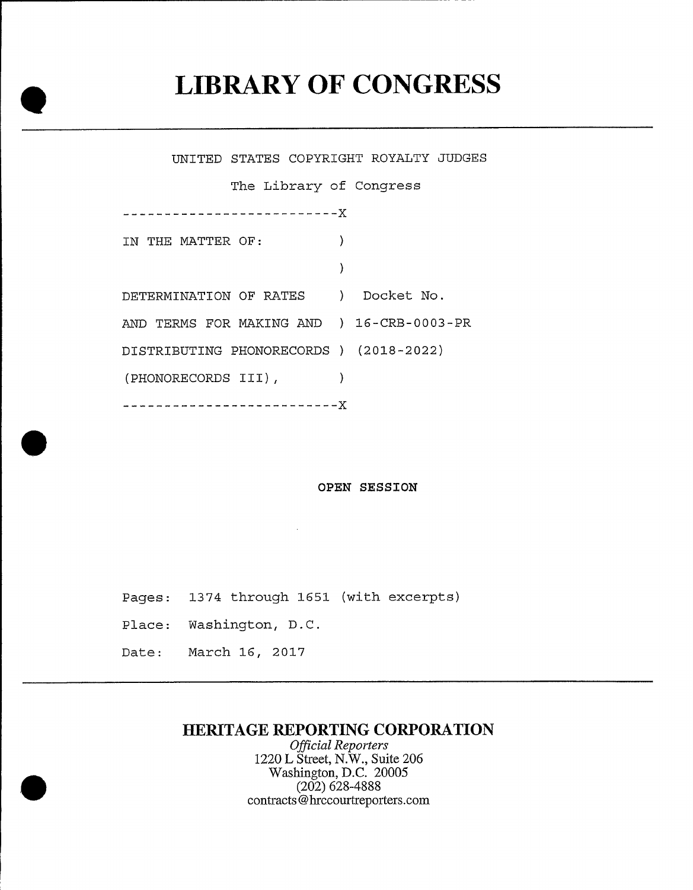## LIBRARY OF CONGRESS

UNITED STATES COPYRIGHT ROYALTY JUDGES The Library of Congress --------------------------IN THE NATTER OF:  $\rightarrow$  $\lambda$ DETERMINATION OF RATES ) Docket No. AND TERMS FOR MAKING AND ) 16-CRB-0003-PR DISTRIBUTING PHONORECORDS ) (2018-2022) (PHONORECORDS III), --------------------------<mark>X</mark>

OPEN SESSION

Pages: 1374 through 1651 (with excerpts)

Place: Washington, D.C.

Date: March 16, 2017

## HERITAGE REPORTING CORPORATION

Official Reporters 1220 L Street, N.W., Suite 206 Washington, D.C. 20005 (202) 628-4888 contracts@hrccourtreporlers.corn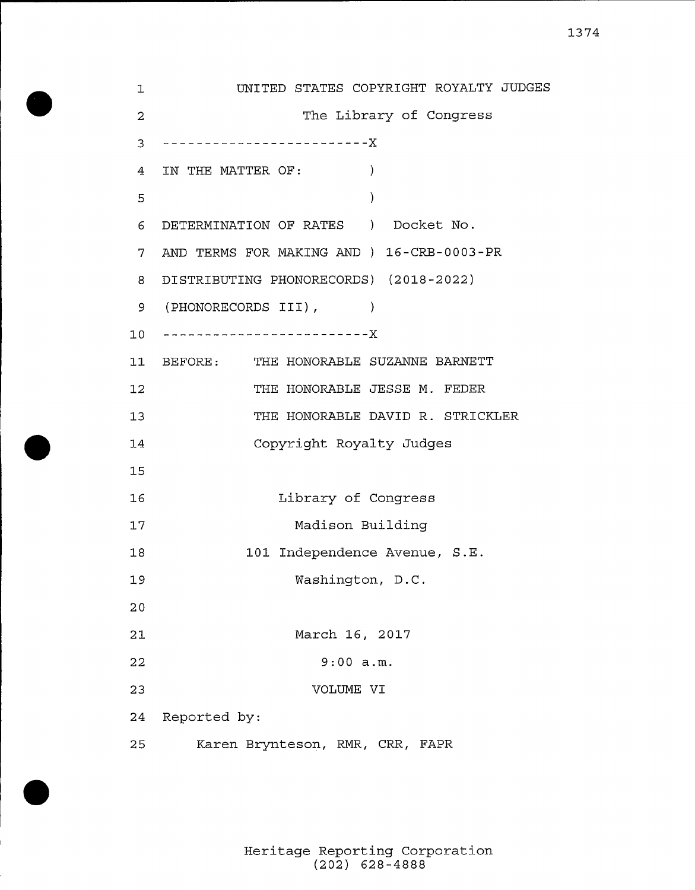UNITED STATES COPYRIGHT ROYALTY JUDGES  $\mathbf 1$  $\overline{a}$ The Library of Congress 3 ------------------------**X** 4 IN THE MATTER OF:  $\rightarrow$ 5  $\lambda$ <sup>6</sup> DETERMINATION OF RATES ) Docket No. 7 AND TERMS FOR MAKING AND ) 16-CRB-0003-PR <sup>8</sup> DISTRIBUTING PHONORECORDS) (2018-2022) 9 (PHONORECORDS III), 10 --------------------------11 BEFORE: THE HONORABLE SUZANNE BARNETT THE HONORABLE JESSE M. FEDER  $12$ THE HONORABLE DAVID R. STRICKLER  $13$ Copyright Royalty Judges 14 15 16 Library of Congress Madison Building 17  $18$ 101 Independence Avenue, S.E. 19 Washington, D.C. 20 21 March 16, 2017 22 9:00 a.m. 23 VOLUME VI 24 Reported by: 25 Karen Brynteson, RMR, CRR, FAPR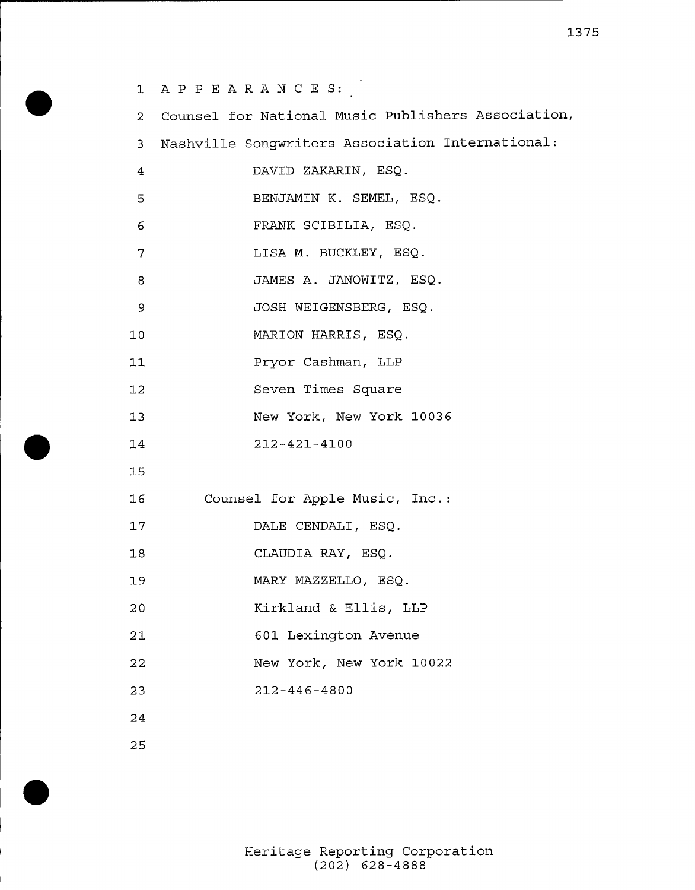1 APPEARANCES: <sup>2</sup> Counsel for National Music Publishers Association, <sup>3</sup> Nashville Songwriters Association International:  $\overline{4}$ DAVID ZAKARIN, ESQ. 5 BENJAMIN K. SEMEL, ESQ. 6 FRANK SCIBILIA, ESQ. LISA M. BUCKLEY, ESQ.  $7\overline{ }$ 8 JAMES A. JANOWITZ, ESQ. JOSH WEIGENSBERG, ESQ.  $\overline{9}$ 10 MARION HARRIS, ESQ. Pryor Cashman, LLP 11 Seven. Times Square  $12$  $13$ New York, New York 10036 14 212-421-4100 15 16 Counsel for Apple Music, Inc.  $17$ DALE CENDAL1, ESQ. CLAUD1A RAY, ESQ. 18 MARY MAZZELLO, ESQ. 19 20 Kirkland & Ellis, LLP 21 601 Lexington Avenue 22 New York, New York 10022 212-446-4800 23 24 25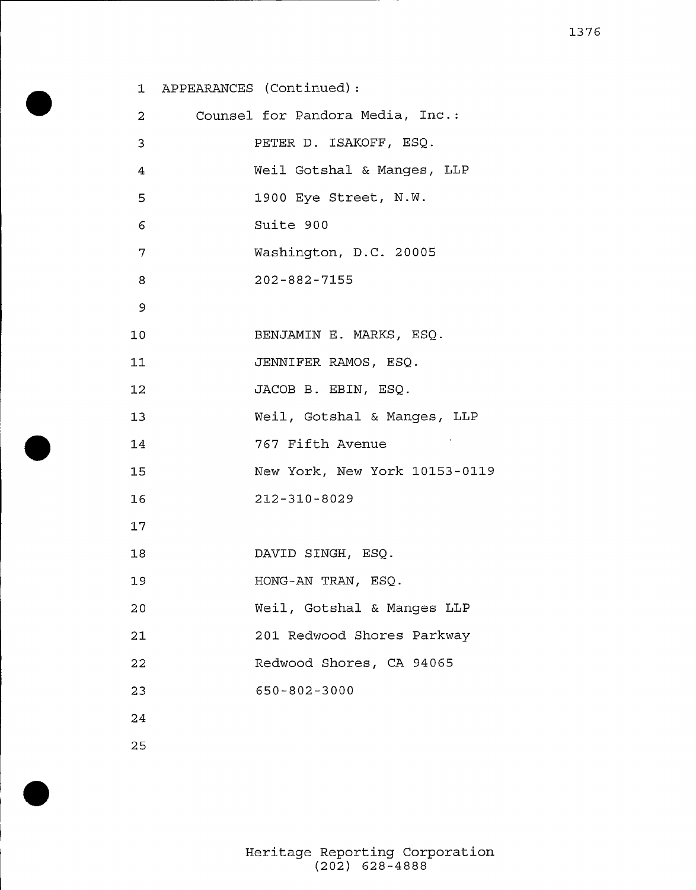|                | 1 APPEARANCES (Continued): |                                  |
|----------------|----------------------------|----------------------------------|
| $\overline{a}$ |                            | Counsel for Pandora Media, Inc.: |
| 3              |                            | PETER D. ISAKOFF, ESQ.           |
| 4              |                            | Weil Gotshal & Manges, LLP       |
| 5              |                            | 1900 Eye Street, N.W.            |
| 6              |                            | Suite 900                        |
| 7              |                            | Washington, D.C. 20005           |
| 8              |                            | $202 - 882 - 7155$               |
| 9              |                            |                                  |
| 10             |                            | BENJAMIN E. MARKS, ESQ.          |
| 11             |                            | JENNIFER RAMOS, ESQ.             |
| 12             |                            | JACOB B. EBIN, ESQ.              |
| 13             |                            | Weil, Gotshal & Manges, LLP      |
| 14             |                            | 767 Fifth Avenue                 |
| 15             |                            | New York, New York 10153-0119    |
| 16             |                            | 212-310-8029                     |
| 17             |                            |                                  |
| 18             |                            | DAVID SINGH, ESQ.                |
| 19             |                            | HONG-AN TRAN, ESQ.               |
| 20             |                            | Weil, Gotshal & Manges LLP       |
| 21             |                            | 201 Redwood Shores Parkway       |
| 22             |                            | Redwood Shores, CA 94065         |
| 23             |                            | 650-802-3000                     |
| 24             |                            |                                  |
| 25             |                            |                                  |

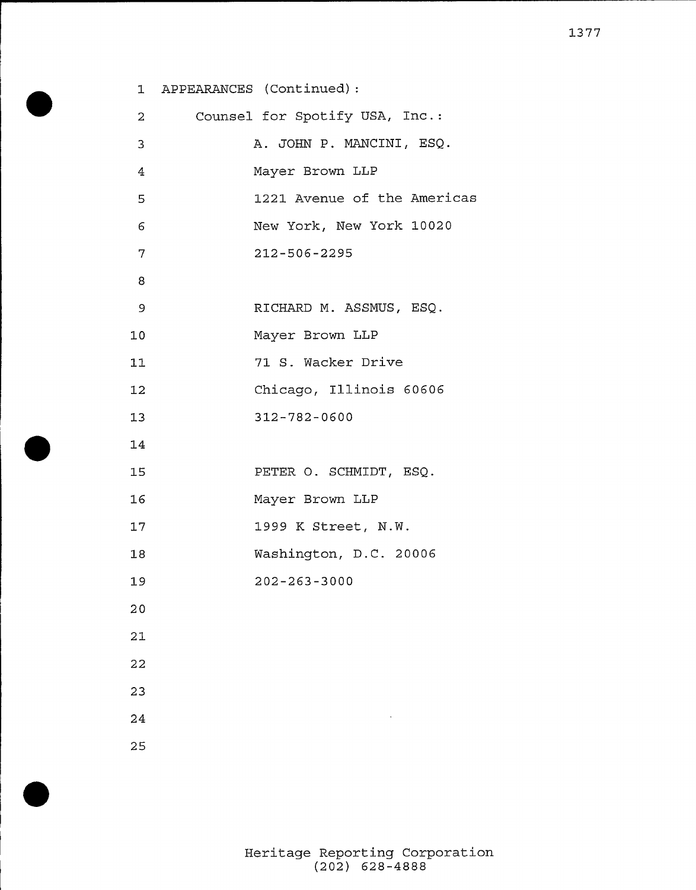|              | 1 APPEARANCES (Continued):     |
|--------------|--------------------------------|
| $\mathbf{2}$ | Counsel for Spotify USA, Inc.: |
| 3            | A. JOHN P. MANCINI, ESQ.       |
| 4            | Mayer Brown LLP                |
| 5            | 1221 Avenue of the Americas    |
| 6            | New York, New York 10020       |
| 7            | 212-506-2295                   |
| 8            |                                |
| 9            | RICHARD M. ASSMUS, ESQ.        |
| 10           | Mayer Brown LLP                |
| 11           | 71 S. Wacker Drive             |
| 12           | Chicago, Illinois 60606        |
| 13           | 312-782-0600                   |
| $14\,$       |                                |
| 15           | PETER O. SCHMIDT, ESQ.         |
| 16           | Mayer Brown LLP                |
| 17           | 1999 K Street, N.W.            |
| 18           | Washington, D.C. 20006         |
| 19           | $202 - 263 - 3000$             |
| 20           |                                |
| 21           |                                |
| 22           |                                |
| 23           |                                |
| 24           |                                |
| 25           |                                |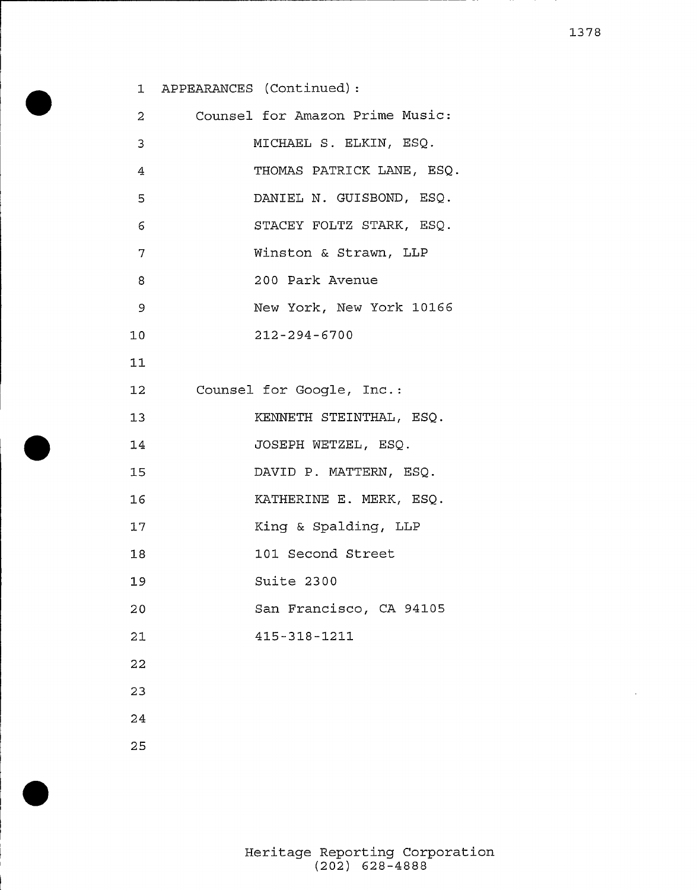|                | 1 APPEARANCES (Continued):      |
|----------------|---------------------------------|
| $\mathbf{2}^-$ | Counsel for Amazon Prime Music: |
| 3              | MICHAEL S. ELKIN, ESQ.          |
| 4              | THOMAS PATRICK LANE, ESQ.       |
| 5              | DANIEL N. GUISBOND, ESQ.        |
| 6              | STACEY FOLTZ STARK, ESQ.        |
| 7              | Winston & Strawn, LLP           |
| 8              | 200 Park Avenue                 |
| 9              | New York, New York 10166        |
| 10             | $212 - 294 - 6700$              |
| 11             |                                 |
| 12             | Counsel for Google, Inc.:       |
| 13             | KENNETH STEINTHAL, ESQ.         |
| 14             | JOSEPH WETZEL, ESQ.             |
| 15             | DAVID P. MATTERN, ESQ.          |
| 16             | KATHERINE E. MERK, ESQ.         |
| 17             | King & Spalding, LLP            |
| 18             | 101 Second Street               |
| 19             | Suite 2300                      |
| 20             | San Francisco, CA 94105         |
| 21             | 415-318-1211                    |
| 22             |                                 |
| 23             |                                 |
| 24             |                                 |
|                |                                 |

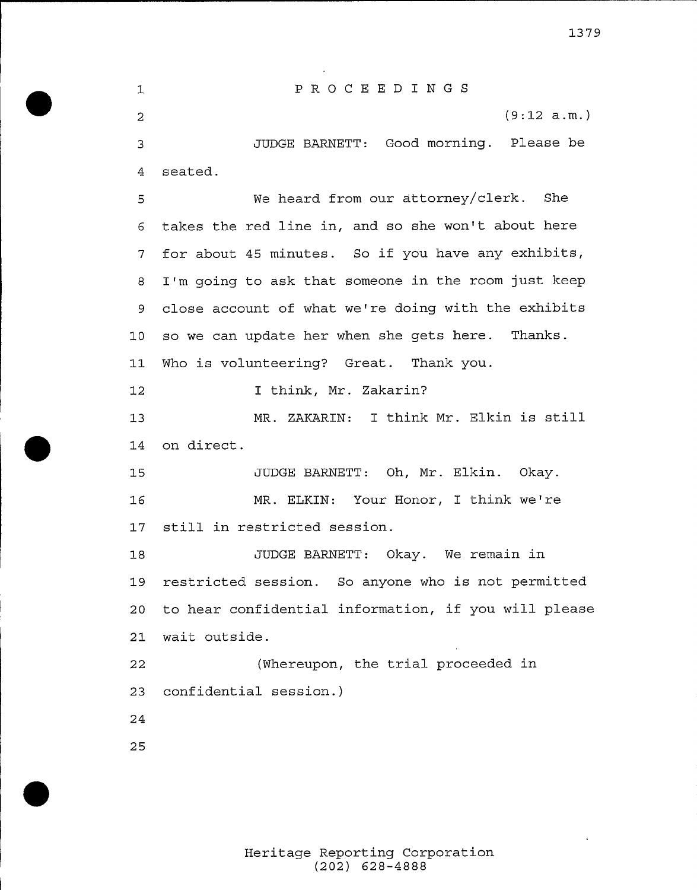PROCEED I NGS  $\mathbf{1}$ (9:12 a.m.)  $\mathcal{L}$ JUDGE BARNETT: Good morning. Please be seated. We heard from our attorney/clerk. She takes the red line in, and so she won't about here for about <sup>45</sup> minutes. So if you have any exhibits, I'm going to ask that someone in the room just keep 9 close account of what we're doing with the exhibits so we can. update her when she gets here. Thanks. 11 Who is volunteering? Great. Thank you. I think, Mr. Zakarin? MR. ZAKARIN: <sup>I</sup> think Mr. Elkin is still on direct. JUDGE BARNETT: Oh, Mr. Elkin. Okay. MR. ELKIN: Your Honor, I think we're still in restricted session. JUDGE BARNETT: Okay. We remain in restricted session. So anyone who is not permitted to hear confidential information, if you will please wait outside. (Whereupon, the trial proceeded in confidential session.)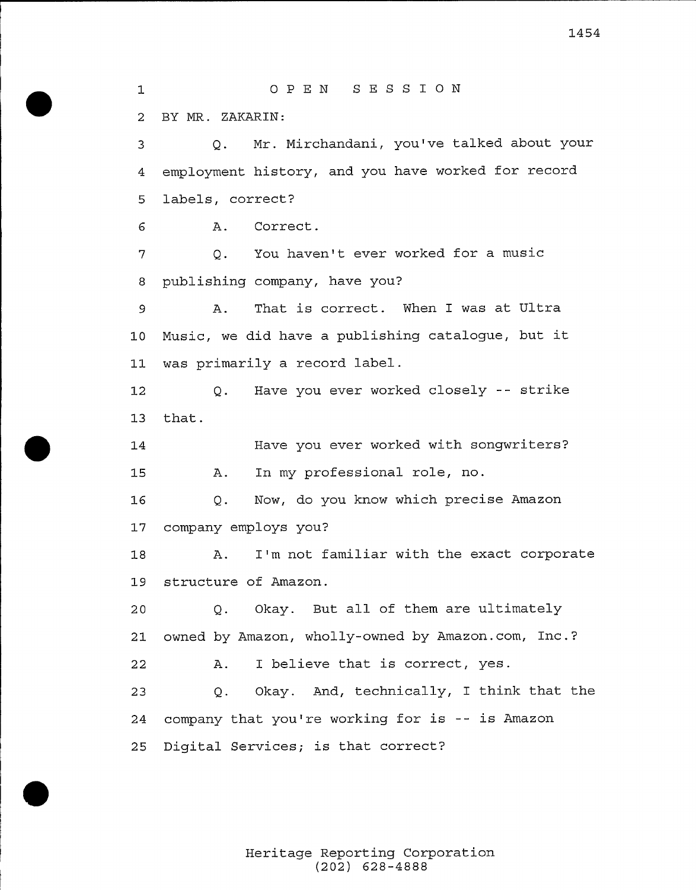OP EN SESS I ON BY MR. ZAKARIN: Q. Mr. Mirchandani, you'e talked about your employment history, and you have worked for record labels, correct? A. Correct. Q. You haven't ever worked for a music publishing company, have you? A. That is correct. When I was at Ultra Music, we did have <sup>a</sup> publishing catalogue, but it was primarily a record label. Q. Have you ever worked closely -- stxike that. Have you ever worked with songwriters'? A. In my professional role, no. Q. Now, do you know which pxecise Amazon company employs you? A. I'm not familiar with the exact corporate structure of Amazon. Q. Okay. But all of them are ultimately 21 owned by Amazon, wholly-owned by Amazon.com, Inc.? A. I believe that is correct, yes. Q. Okay. And, technically, I think that the company that you'e working for is -- is Amazon Digital Services; is that correct?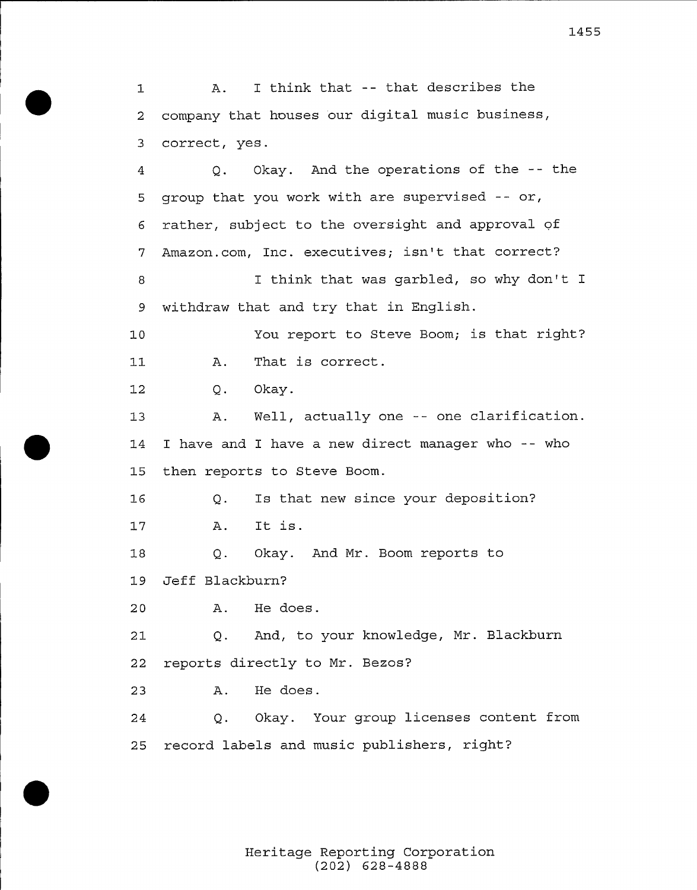A. I think that -- that describes the company that houses our digital music business, correct, yes. Q. Okay. And the operations of the -- the group that you work with are supervised -- or, rather, subject to the oversight and approval of 7 Amazon.com, Inc. executives; isn't that correct? I think that was garbled, so why don't I withdraw that and try that in English. You report to Steve Boom; is that right? A. That is correct.  $1.1$  Q. Okay. A. Well, actually one -- one clarification. I have and I have a new direct manager who -- who then reports to Steve Boom. Q. Is that new since your deposition'? A. It is. Q. Okay. And Mr. Boom reports to Jeff Blackburn? A. He does. Q. And, to your knowledge, Mr. Blackburn reports directly to Mr. Bezos? A. He does. Q. Okay. Your group licenses content from record labels and music publishers, right?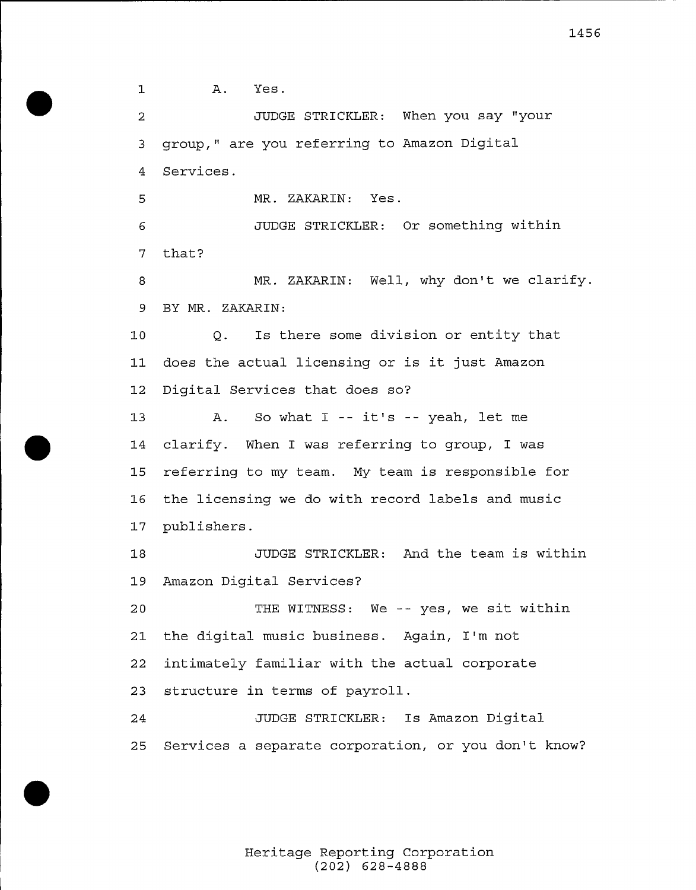$\mathbf 1$ A. Yes. JUDGE STRICKLER: When you say "your  $\overline{2}$  group," are you referring to Amazon Digital Services. MR. ZAKARIN: Yes. JUDGE STRICKLER: Or something within that? MR. ZAKARIN: Well, why don't we clarify. BY MR. ZAKARIN: Q. Is there some division or entity that does the actual licensing or is it just Amazon Digital Services that does so? A. So what <sup>I</sup> -- it's -- yeah, let me clarify. When I was referring to group, I was referring to my team. My team is responsible for the licensing we do with record labels and music publishers. JUDGE STRICKLER: And the team is within Amazon Digital Services? THE WITNESS: We -- yes, we sit within the digital music business. Again, I'm not intimately familiar with the actual corporate structure in terms of payroll. JUDGE STRICKLER: Is Amazon Digital Services a separate corporation, or you don't know?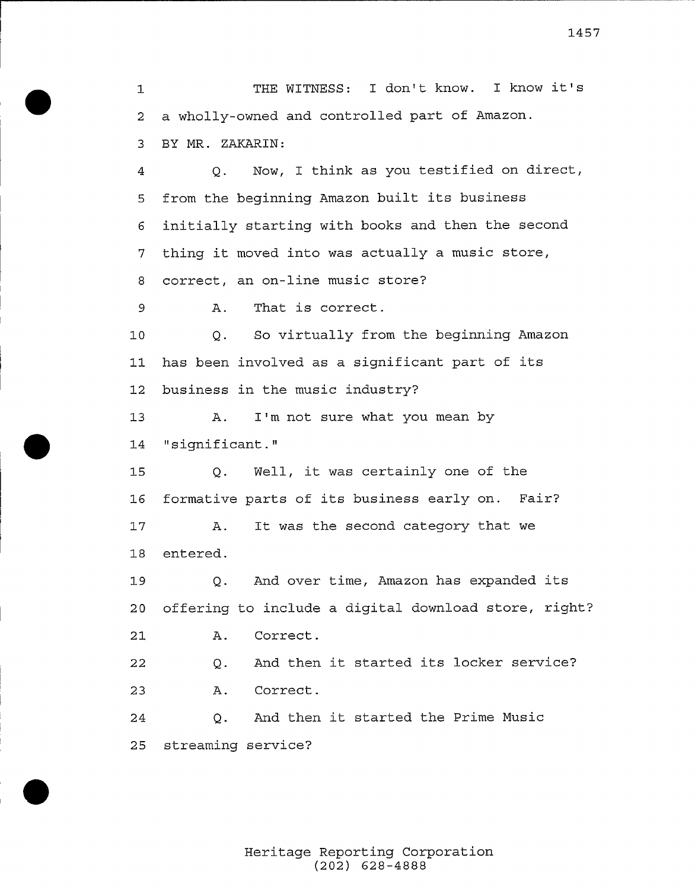THE WITNESS: I don't know. I know it's  $\mathbf{1}$  a wholly-owned and controlled part of Amazon. BY MR. ZAKARIN:

Q. Now, I think as you testified on direct,  $\overline{4}$  from the beginning Amazon built its business initially starting with books and then the second thing it moved into was actually <sup>a</sup> music store, correct, an on-line music store?

A. That is correct.

 Q. So virtually from the beginning Amazon has been involved as <sup>a</sup> significant part of its business in the music industry?

 A. I'm not sure what you mean by "significant."

 Q. Well, it was certainly one of the formative parts of its business early on. Pair? A. It was the second category that we

entered.

 Q. And over time, Amazon has expanded its offering to include a digital download store, right? A. Correct.

 Q. And then it started its locker service? A. Correct.

Q. And then it started the Prime Music streaming service?

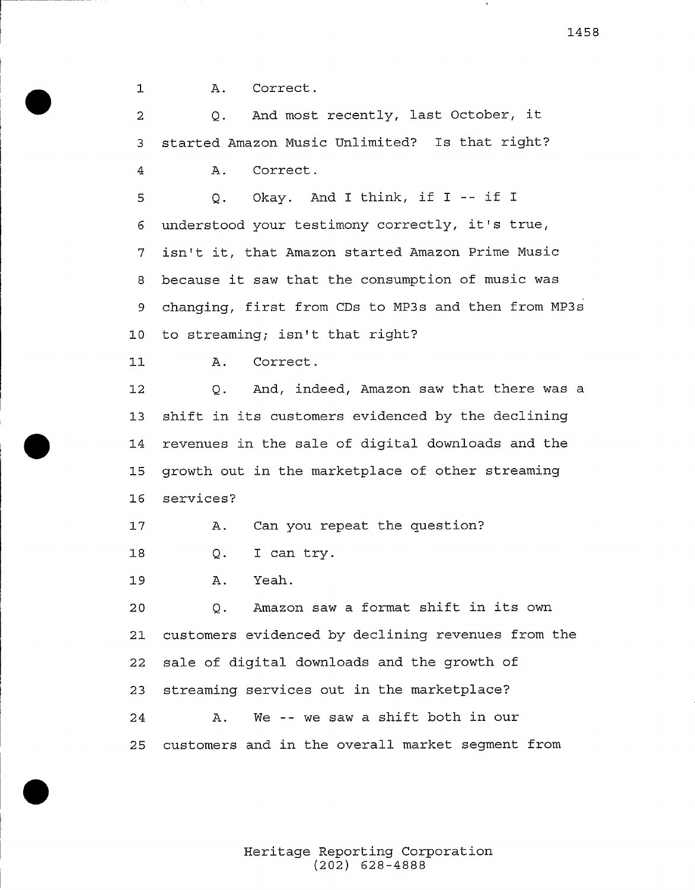$\mathbf{1}$ A. Correct.

Q. And most recently, last October, it  $\overline{2}$ <sup>3</sup> started Amazon Music Unlimited? Is that right? <sup>4</sup> A. Correct. <sup>5</sup> Q. Okay. And I think, if <sup>I</sup> -- if I <sup>6</sup> understood your testimony correctly, it's true, <sup>7</sup> isn't it, that Amazon started Amazon Prime Music 8 because it saw that the consumption of music was <sup>9</sup> changing, first from CDs to MP3s and then from MP3s <sup>10</sup> to streaming; isn't that right'?  $11$ A. Correct. Q. And, indeed, Amazon saw that there was a 12 13 shift in its customers evidenced by the declining 14 revenues in the sale of digital downloads and the 15 growth out in the marketplace of other streaming <sup>16</sup> services'  $17$ A. Can you repeat the question?  $18$ Q. I can try. 19 A. Yeah. <sup>20</sup> Q. Amazon saw <sup>a</sup> format shift in its own 21 customers evidenced by declining revenues from the <sup>22</sup> sale of digital downloads and the growth of <sup>23</sup> streaming services out in the marketplace? A. We -- we saw <sup>a</sup> shift both in our 24 25 customers and in tbe overall market segment from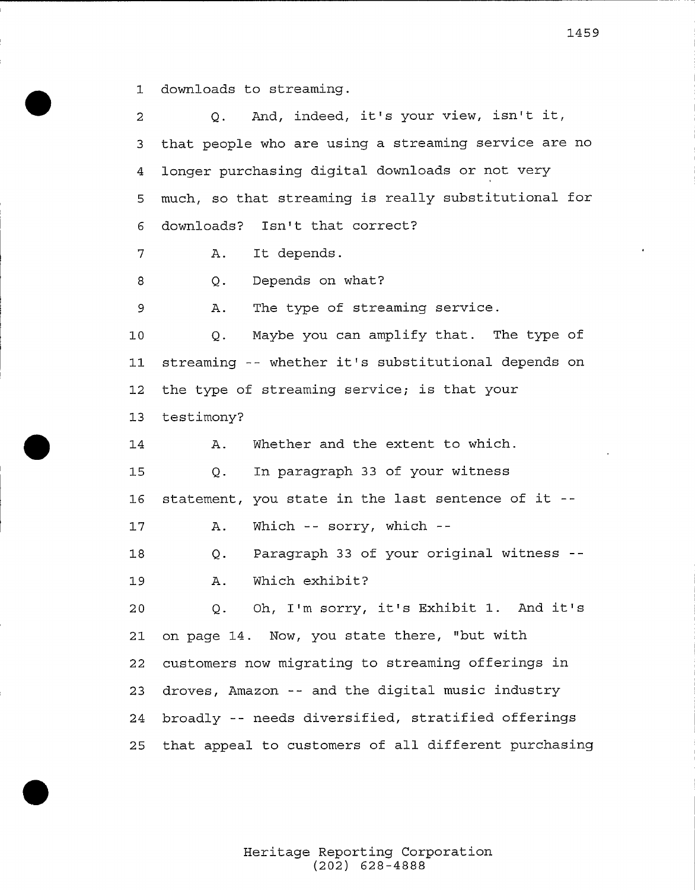downloads to streaming.

 Q. And, indeed, it's your view, isn't it, that people who are using a streaming service are no longer purchasing digital downloads or not very much, so that streaming is really substitutional for downloads? Isn't that correct? A. It depends. Q. Depends on what? A. The type of streaming service. Q. Maybe you can amplify that. The type of streaming -- whether it's substitutional depends on the type of streaming service; is that your testimony? 14 A. Whether and the extent to which. Q. In paragraph 33 of your witness statement, you state in the last sentence of it A. Which -- sorry, which --Q. Paragraph <sup>33</sup> of your original witness A. Which exhibit? Q. Oh, I'm sorry, it's Exhibit 1. And it' on page 14. Now, you state there, "but with customers now migrating to streaming offerings in droves, Amazon -- and the digital music industry broadly -- needs diversified, stratified offerings that appeal to customers of all different purchasing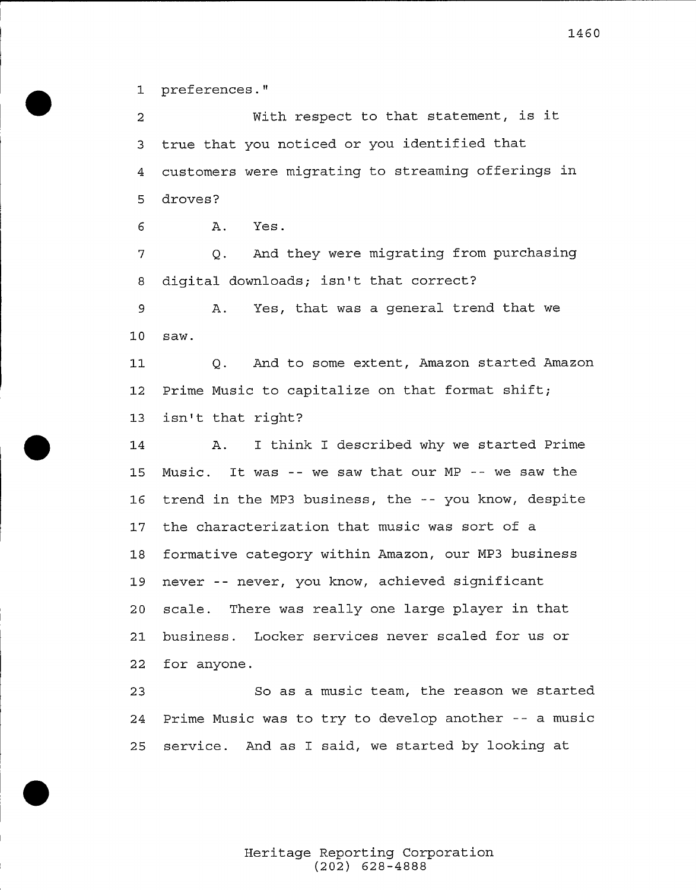preferences."

With respect to that statement, is it  $\overline{2}$  true that you noticed or you identified that customers were migrating to streaming offerings in droves?

A. Yes.

 Q. And they were migrating from purchasing digital downloads; isn't that correct?

A. Yes, that was a general trend that we saw.

Q. And to some extent, Amazon started Amazon Prime Music to capitalize on that format shift; isn't that right?

 A. I think I described why we started Prime Music. It was -- we saw that our MP -- we saw the trend in the MP3 business, the -- you know, despite the characterization that music was sort of a formative category within Amazon, our MP3 business never -- never, you know, achieved significant scale. There was really one large player in that business. Locker services never scaled for us or for anyone.

 So as a music team, the reason we started Prime Music was to try to develop another -- <sup>a</sup> music service. And as I said, we started by looking at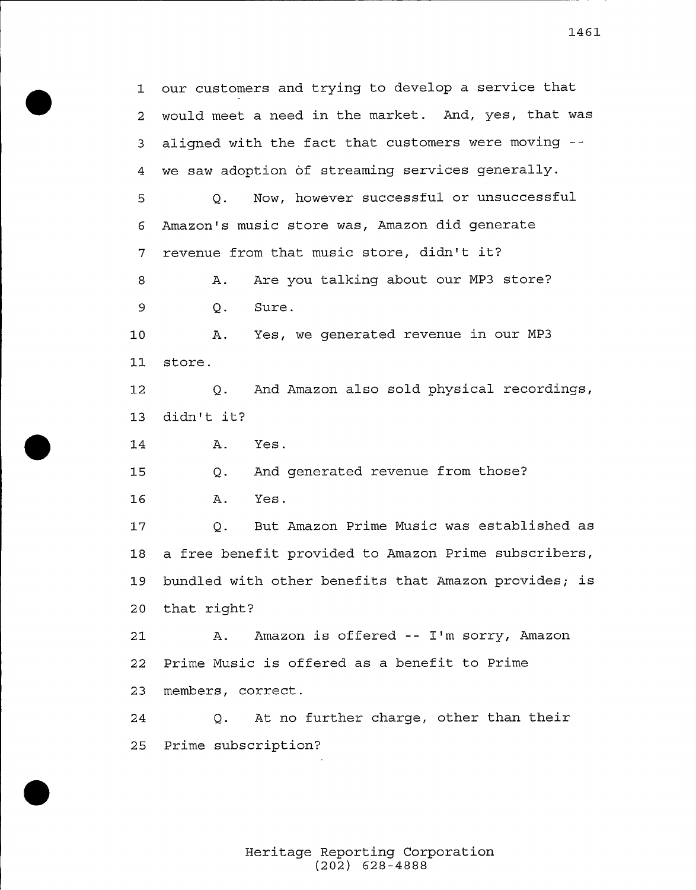our customers and trying to develop a service that would meet a need in the market. And, yes, that was aligned with the fact that customers were moving we saw adoption of streaming services generally. Q. Now, however successful or unsuccessful Amazon's music store was, Amazon did generate revenue from that music store, didn't it'? A. Are you talking about our MP3 store?  $\overline{9}$ Q. Sure. A. Yes, we generated revenue in our MP3 store. Q. And Amazon also sold physical recordings, didn't it'? A. Yes. Q. And generated revenue from those? A. Yes. Q. But Amazon Prime Music was established as a free benefit provided to Amazon Prime subscribers, bundled with other benefits that Amazon provides; is that right? 21 A. Amazon is offered -- I'm sorry, Amazon Prime Music is offered as a benefit to Prime members, correct. Q. At no further charge, other than their Prime subscription?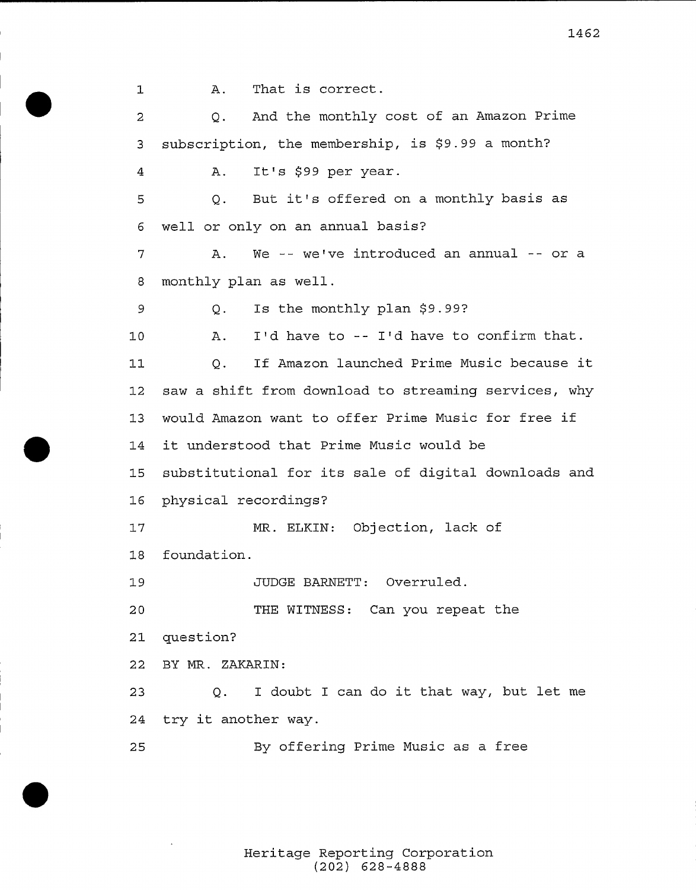A. That is correct.  $\mathbf{1}$ Q. And the monthly cost of an Amazon Prime  $\overline{2}$ 3 subscription, the membership, is \$9.99 a month? A. It's \$99 per year. 4 <sup>5</sup> Q. But it's offered on <sup>a</sup> monthly basis as <sup>6</sup> well or only on an annual basis? 7 A. We -- we've introduced an annual -- or a <sup>8</sup> monthly plan as well.  $\overline{9}$ Q. Is the monthly plan \$9.99? 10 A. I'd have to -- I'd have to confirm that. Q. If Amazon. launched Prime Music because it  $11$ <sup>12</sup> saw a shift from download to streaming services, why <sup>13</sup> would Amazon want to offer Prime Music for free if <sup>14</sup> it understood that Prime Music would be <sup>15</sup> substitutional for its sale of digital downloads and <sup>16</sup> physical recordings? 17 MR. ELKIN: Objection., lack of 18 foundation.. JUDGE BARNETT: Overruled. 19 THE WITNESS: Can you repeat the 20 21 question? 22 BY MR. ZAKARIN: <sup>23</sup> Q. <sup>I</sup> doubt <sup>I</sup> can do it that way, but let me <sup>24</sup> try it another way. <sup>25</sup> By offering Prime Music as a free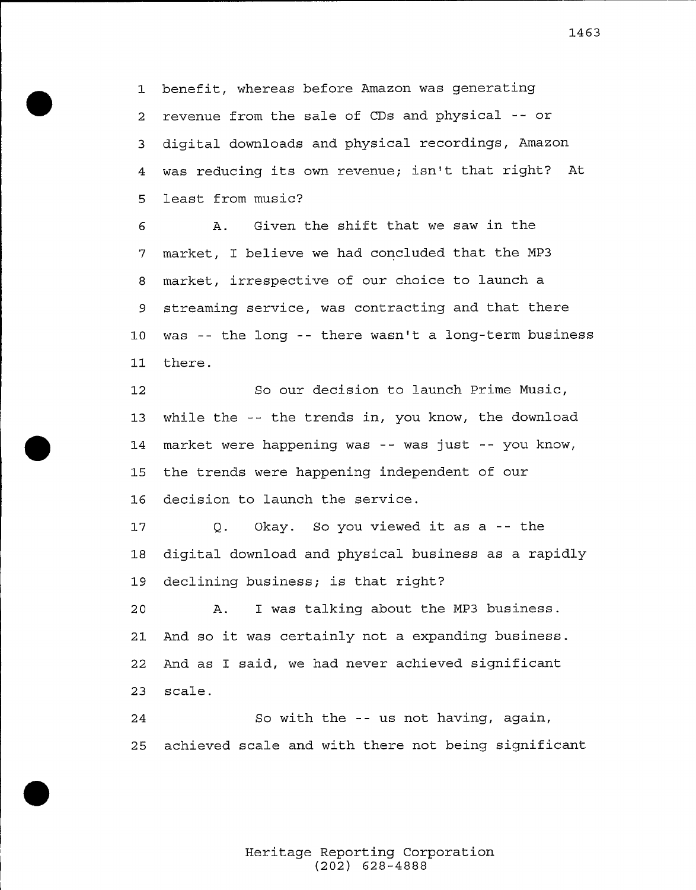benefit, whereas before Amazon was generating revenue from the sale of CDs and physical -- or digital downloads and physical recordings, Amazon was reducing its own revenue; isn't that right? At least from music?

6 A. Given the shift that we saw in the market, I believe we had concluded that the MP3 market, irrespective of our choice to launch a streaming service, was contracting and that there was -- the long -- there wasn't <sup>a</sup> long-term business there.

 So our decision to launch Prime Music, while the -- the trends in, you know, the download market were happening was -- was just -- you know, the trends were happening independent of our 16 decision to launch the service.

 Q. Okay. So you viewed it as <sup>a</sup> -- the digital download and physical business as a rapidly declining business; is that right?

 A. I was talking about the MP3 business. And so it was certainly not <sup>a</sup> expanding business. And as I said, we had never achieved significant scale.

So with the -- us not having, again, achieved scale and with there not being significant

> Heritage Reporting Corporation. (202) 628-4888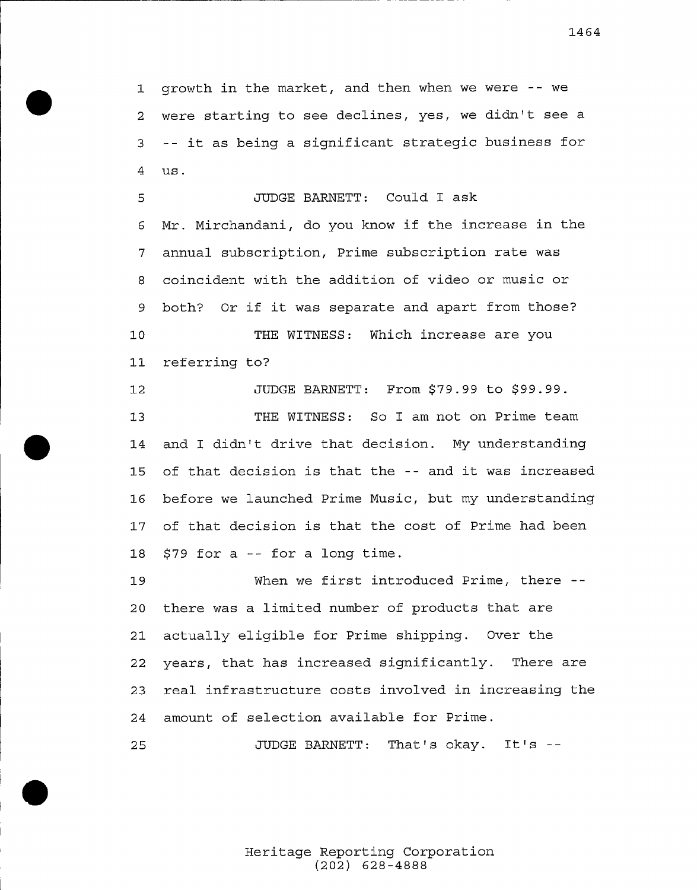growth in the market, and then when we were -- we were starting to see declines, yes, we didn't see <sup>a</sup> -- it as being <sup>a</sup> significant strategic business for us.

JUDGE BARNETT: Could I ask Mr. Mirchandani, do you know if the increase in the annual subscription., Prime subscription rate was coincident with the addition of video or music or both? Or if it was separate and apart from those? THE WITNESS: Which increase are you referring to?

 JUDGE BARNETT: From \$79.99 to \$99.99. THE WITNESS: So I am not on Prime team and I didn't drive that decision. My understanding of that decision is that the -- and it was increased before we launched Prime Music, but my understanding of that decision is that the cost of Prime had been f79 for <sup>a</sup> -- for <sup>a</sup> long time.

19 When we first introduced Prime, there -- there was a limited number of products that are actually eligible for Prime shipping. Over the years, that has increased significantly. There are real infrastructure costs involved in increasing the amount of selection available for Prime.

25 JUDGE BARNETT: That's okay. It's --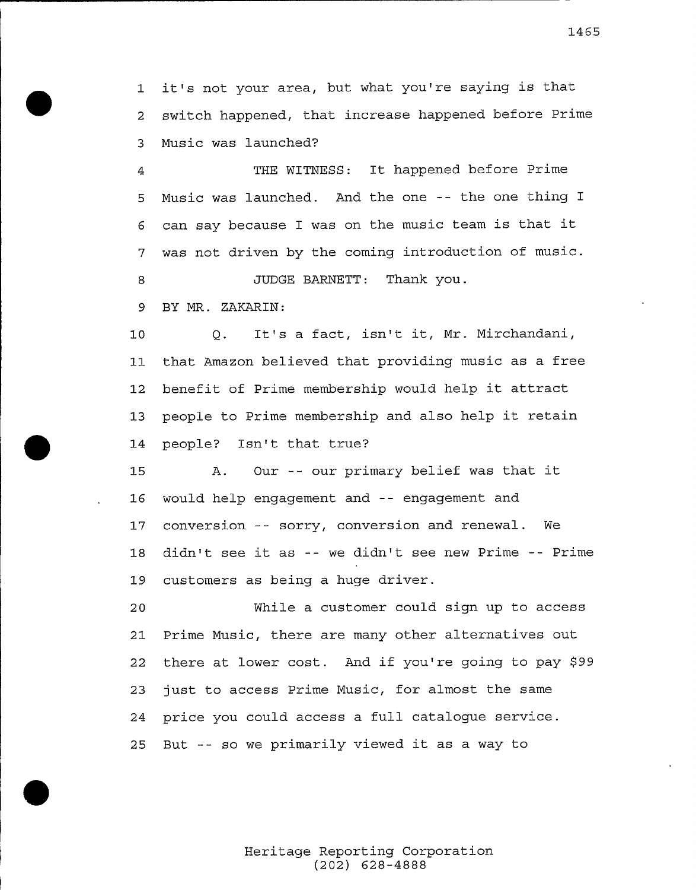1 it's not your area, but what you're saying is that switch happened, that increase happened before Prime Music was launched?

THE WITNESS: It happened before Prime  $\overline{4}$  Music was launched. And the one -- the one thing I can say because <sup>I</sup> was on the music team is that it was not driven by the coming introduction of music. JUDGE BARNETT: Thank you.

BY MR. ZAKARIN:

 Q. It's <sup>a</sup> fact, isn't it, Mr. Mirchandani, that Amazon believed that providing music as a free benefit of Prime membership would help it attract people to Prime membership and also help it retain people? Isn't that true?

 A. Our -- our primary belief was that it would help engagement and -- engagement and conversion -- sorry, conversion and renewal. We didn't see it as -- we didn't see new Prime -- Prime customers as being a huge driver.

 While a customer could sign up to access Prime Music, there are many other alternatives out 22 there at lower cost. And if you're going to pay \$99 just to access Prime Music, for almost the same price you could access a full catalogue service. But -- so we primarily viewed it as <sup>a</sup> way to

> Heritage Reporting Corporation (202) 628-4888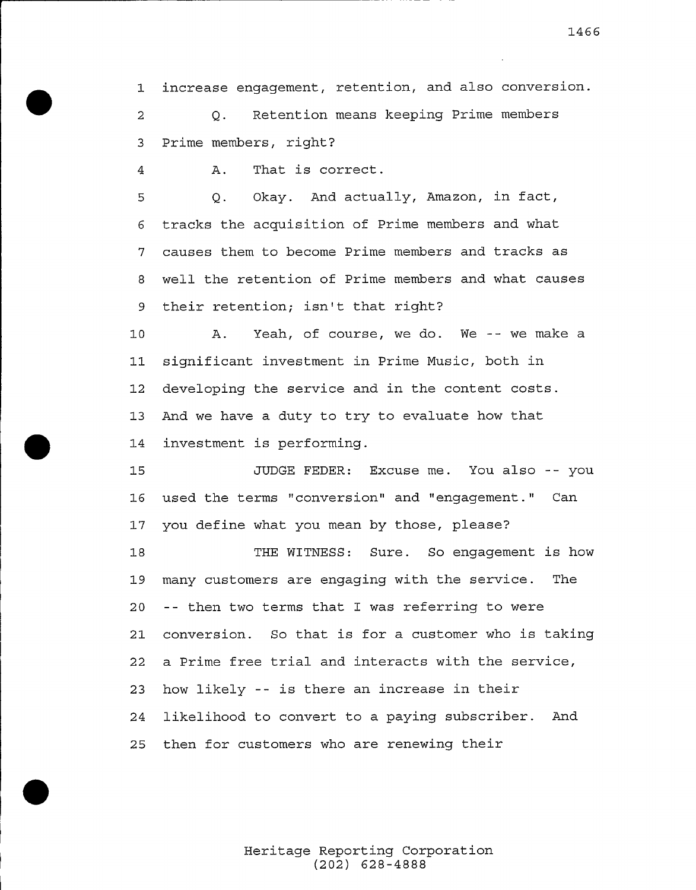increase engagement, retention, and also conversion. Q. Retention means keeping Prime members

Prime members, right?

A. That is correct.

 Q. Okay. And actually, Amazon, in fact, tracks the acquisition of Prime members and what causes them to become Prime members and tracks as well the retention of Prime members and what causes their retention; isn't that right?

 A. Yeah, of course, we do. We -- we make a significant investment in Prime Music, both in developing the service and in the content costs. And we have a duty to try to evaluate how that investment is performing.

JUDGE FEDER: Excuse me. You also -- you used. the terms "conversion" and "engagement." Can you define what you mean by those, please?

THE WITNESS: Sure. So engagement is how many customers are engaging with the service. The -- then two terms that I was referring to were conversion. So that is for a customer who is taking <sup>a</sup> Prime free trial and interacts with the service, how likely -- is there an increase in their likelihood to convert to a paying subscriber. And then for customers who are renewing their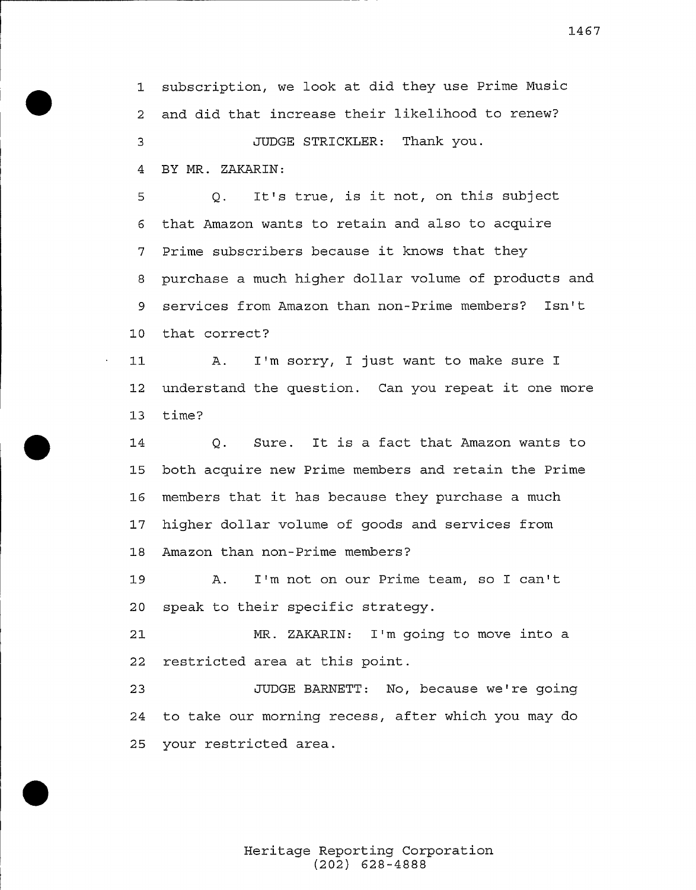subscription, we look at did they use Prime Music and did that increase their likelihood to renew? JUDGE STRICKLER: Thank you. BY MR. ZAKARIN:

 Q. It's true, is it not, on this subject that Amazon wants to retain and also to acquire Prime subscribers because it knows that they purchase a much higher dollar volume of products and services from Amazon than non-Prime members? Isn' that correct?

 A. I'm sorry, I just want to make sure I understand the question. Can you repeat it one more time?

Q. Sure. It is a fact that Amazon wants to both acquire new Prime members and retain the Prime members that it has because they purchase <sup>a</sup> much higher dollar volume of goods and services from Amazon than non-Prime members?

A. I'm not on our Prime team, so I can' speak to their specific strategy.

 MR. ZAKARIN: I'm going to move into a restricted area at this point.

23 JUDGE BARNETT: No, because we're going to take our morning recess, after which you may do your restricted area.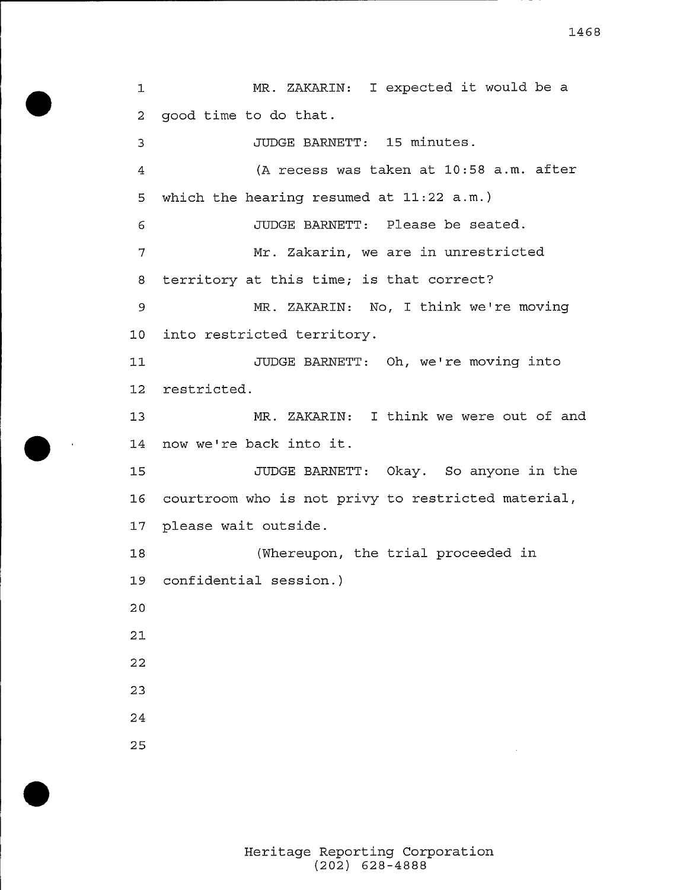MR. ZAKARIN: <sup>I</sup> expected it would be <sup>a</sup>  $\mathbf{1}$  good time to do that. JUDGE BARNETT: 15 minutes. (A. recess was taken at 10:58 a.m. after  $\overline{A}$  which the hearing resumed at 11:22 a.m.) JUDGE BARNETT: Please be seated. Mr. Zakarin, we are in unrestricted  $7\overline{ }$  territory at this time; is that correct? MR. ZAKARIN: No, I think we're moving into restricted territory. JUDGE BARNETT: Oh, we're moving into restricted. MR. ZAKARIN: I think we were out of and 14 now we're back into it. JUDGE BARNETT: Okay. So anyone in the courtroom who is not privy to restricted material, please wait outside. (Whereupon, the trial proceeded in. confidential session.) 

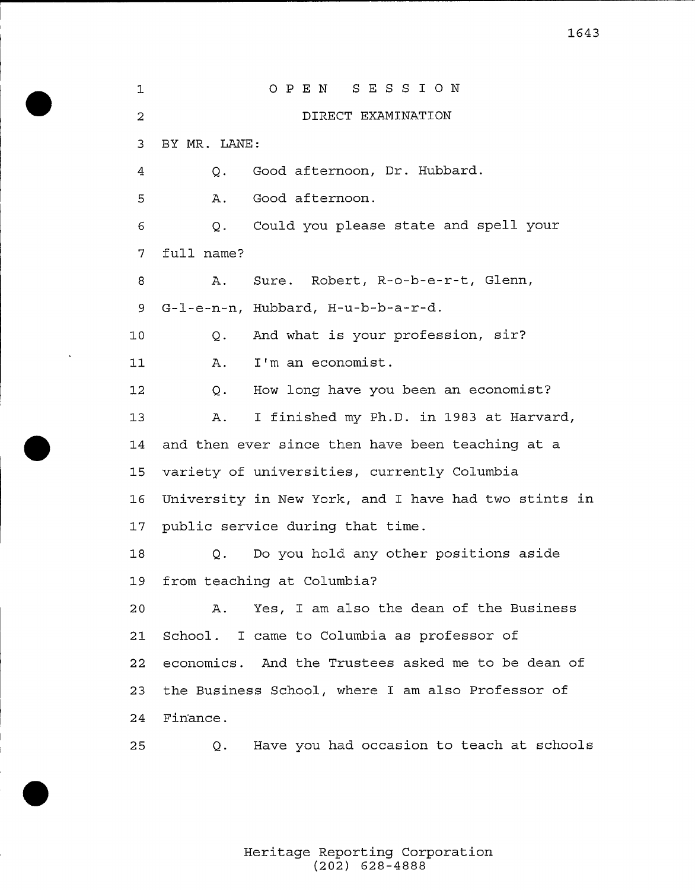P <sup>E</sup> <sup>N</sup> <sup>S</sup> <sup>E</sup> <sup>S</sup> <sup>S</sup> I ON  $\mathbf 1$ DIRECT EXAMINATION BY MR. LANE: Q. Good afternoon, Dr. Hubbard.  $\overline{4}$  A. Good afternoon. Q. Could you please state and spell your full name? A. Sure. Robert, R-o-b-e-r-t, Glenn, 9 G-l-e-n-n, Hubbard, H-u-b-b-a-r-d. Q. And what is your profession, sir? A. I'm an economist. Q. How long have you been an economist? A. I finished my Ph.D. in. 1983 at Harvard, and then ever since then have been teaching at a variety of universities, currently Columbia University in New York, and I have had two stints in. public service during that time. Q. Do you hold any other positions aside from teaching at Columbia? A. Yes, I am also the dean of the Business School. I came to Columbia as professor of economics. And the Trustees asked me to be dean of the Business School, where I am also Professor of Fin'ance. Q. Have you had occasion to teach at schools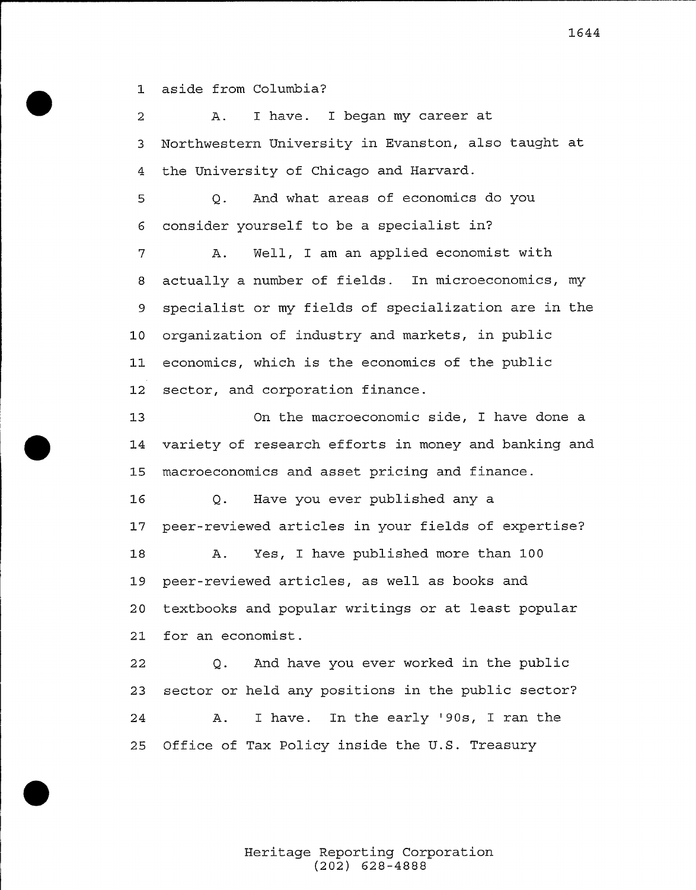aside from Columbia?

 A. I have. I began my career at Northwestern University in Evanston, also taught at the University of Chicago and Harvard. Q. And what areas of economics do you consider yourself to be a specialist in? A. Well, I am an applied economist with actually a number of fields. In microeconomics, my specialist or my fields of specialization are in the organization of industry and markets, in public economics, which is the economics of the public sector, and corporation finance.

On the macroeconomic side, I have done a variety of research efforts in money and banking and macroeconomics and asset pricing and finance.

 Q. Have you ever published any a peer-reviewed articles in your fields of expertise? A. Yes, I have published more than 100 peer-reviewed articles, as well as books and textbooks and popular writings or at least popular for an economist.

 Q. And have you ever worked in the public sector or held any positions in the public sector? 24 A. I have. In the early '90s, I ran the Office of Tax Policy inside the U.S. Treasury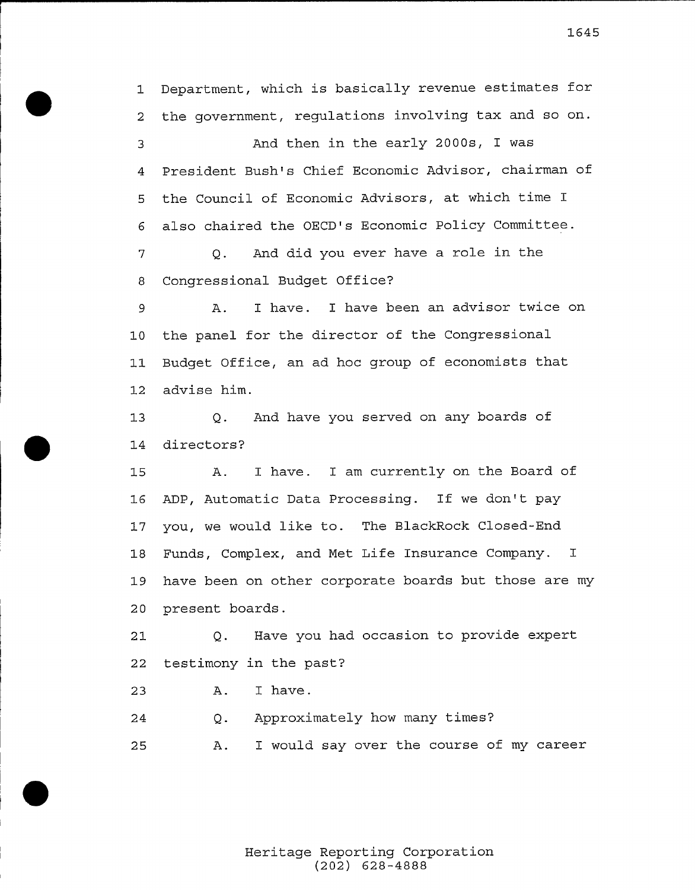Department, which is basically revenue estimates for the government, regulations involving tax and so on. And then in the early 2000s, I was President Bush's Chief Economic Advisor, chairman of the Council of Economic Advisors, at which time I also chaired the OECD's Economic Policy Committee. Q. And did you ever have a role in the Congressional Budget Office? A. I have. I have been an advisor twice on the panel for the director of the Congressional Budget Office, an ad hoc group of economists that advise him. Q. And have you served on any boards of directors? A. I have. I am currently on the Board of ADP, Automatic Data Processing. If we don't pay you, we would like to. The BlackRock Closed-End

 Funds, Complex, and Met Life Insurance Company. I have been on other corporate boards but those are my present boards.

 Q. Have you had occasion to provide expert testimony in the past?

 A. I have.

Q. Approximately how many times?  $2.4$ A. I would say over the course of my career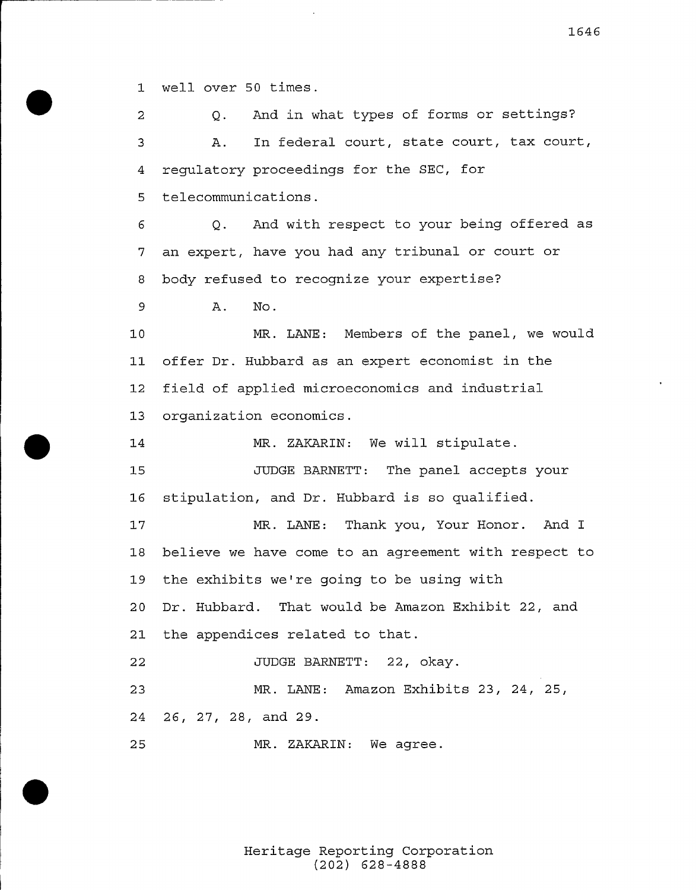well over 50 times.

 Q. And in what types of forms or settings? A. In federal court, state court, tax court, regulatory proceedings for the SEC, for telecommunications. Q. And with respect to your being offered as an expert, have you had any tribunal or court or body refused to recognize your expertise? A. No. MR. LANE: Members of the panel, we would offer Dr. Hubbard as an expert economist in the field of applied microeconomics and industrial organization economics. MR. ZAKARIN: We will stipulate. JUDGE BARNETT: The panel accepts your stipulation, and Dr. Hubbard is so qualified. MR. LANE: Thank you, Your Honor. And I believe we have come to an agreement with respect to 19 the exhibits we're going to be using with Dr. Hubbard. That would be Amazon Exhibit 22, and the appendices related to that. JUDGE BARNETT: 22, okay. MR. LANE: Amazon Exhibits 23, 24, 25, 26, 27, 28, and 29. MR. ZAKARIN: We agree.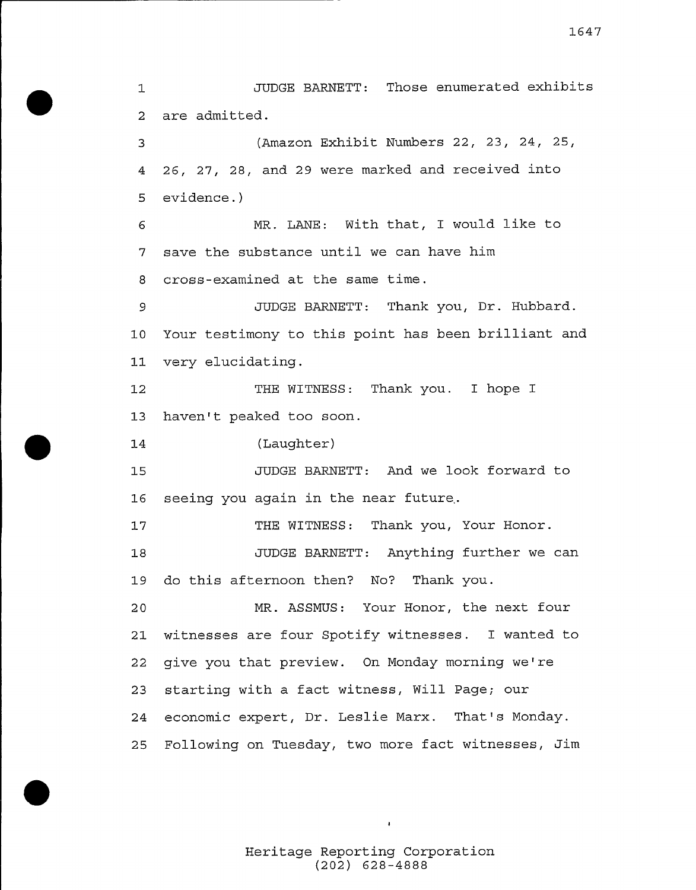JUDGE BARNETT: Those enumerated exhibits  $\mathbf 1$ <sup>2</sup> are admitted.

(Amazon Exhibit Numbers 22, 23, 24, 25,  $\overline{3}$ <sup>4</sup> 26, 27, 28, and <sup>29</sup> were marked and received into <sup>5</sup> evidence.)

MR. LANE: With that, I would like to 6 <sup>7</sup> save the substance until we can have him <sup>8</sup> cross-examined at the same time.

JUDGE BARNETT: Thank you, Dr. Hubbard. 9 <sup>10</sup> Your testimony to this point has been brilliant and <sup>11</sup> very elucidating.

 $12$ THE WITNESS: Thank you. I hope I <sup>13</sup> haven't peaked too soon.

14 (Laughter)

JUDGE BARNETT: And we look forward to 15 <sup>16</sup> seeing you again in the near future.

 $17$ THE WITNESS: Thank you, Your Honor. JUDGE BARNETT: Anything further we can 18 19 do this afternoon then? No? Thank you.

 MR. ASSMUS: Your Honor, the next four witnesses are four Spotify witnesses. I wanted to 22 give you that preview. On Monday morning we're starting with a fact witness, Will Page; our economic expert, Dr. Leslie Marx. That's Monday. Following on Tuesday, two more fact witnesses, Jim

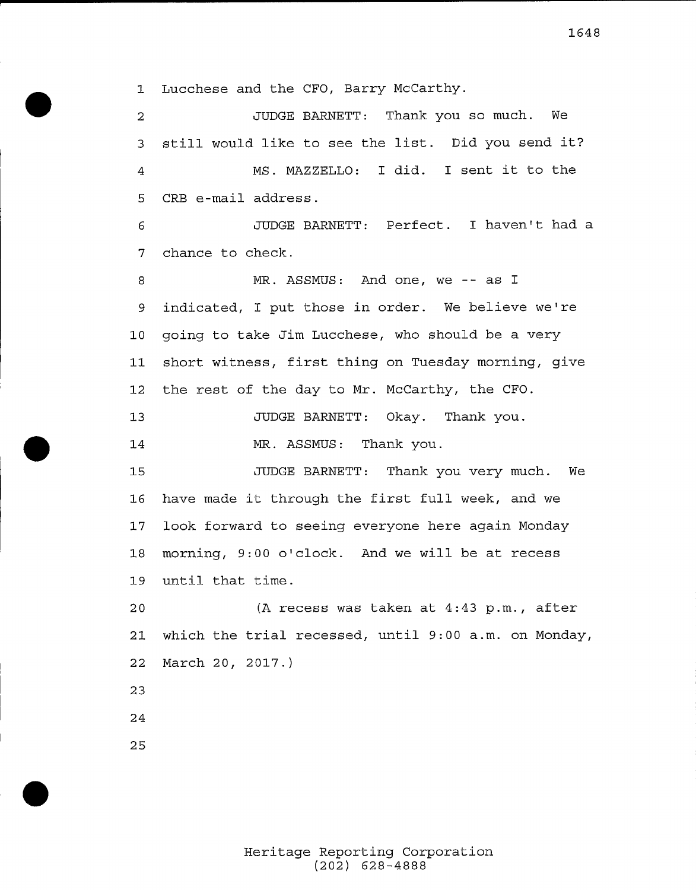Lucchese and tbe CFO, Barry McCarthy.

JUDGE BARNETT: Thank you so much. We  $\overline{a}$ 3 still would like to see the list. Did you send it? MS. MAZZELLO: <sup>I</sup> did. <sup>I</sup> sent it to the CRB e-mail address.

JUDGE BARNETT: Perfect. I haven't had a chance to check.

MR. ASSMUS: And one, we -- as I 9 indicated, I put those in order. We believe we're going to take Jim Luccbese, who should be a very short witness, first thing on Tuesday morning, give 12 the rest of the day to Mr. McCarthy, the CFO.

JUDGE BARNETT: Okay. Thank you.

MR. ASSMUS: Thank you.

JUDGE BARNETT: Thank you very much. We have made it through the first full week, and we look forward to seeing everyone bere again Monday 18 morning, 9:00 o'clock. And we will be at recess until that time.

 (A recess was taken at 4:43 p.m., after which the trial recessed, until 9:00 a.m. on Monday, March 20, 2017.)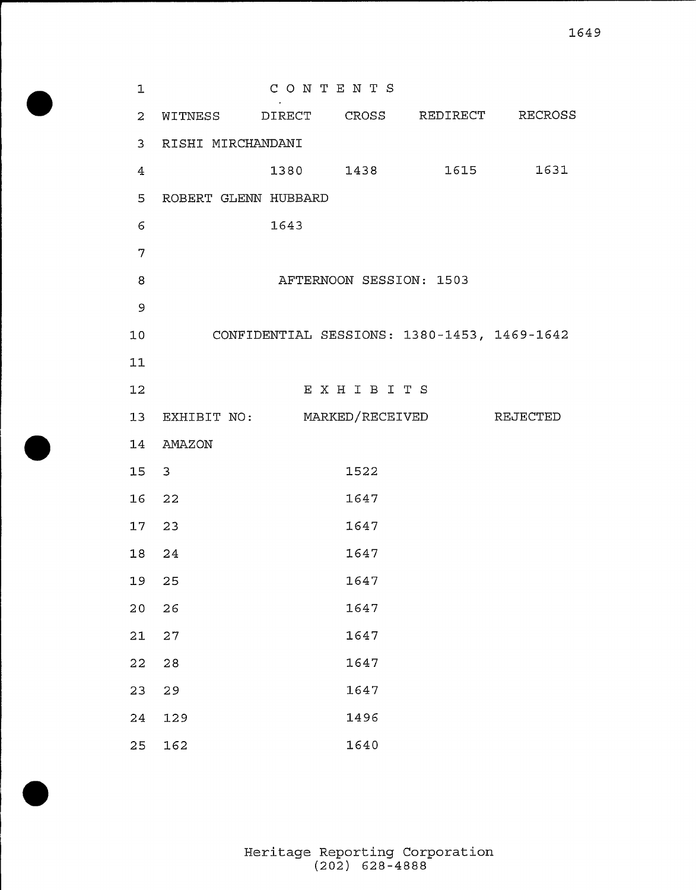| $\mathbf 1$     |                                         |      | CONTENTS                |                                             |      |
|-----------------|-----------------------------------------|------|-------------------------|---------------------------------------------|------|
| $\overline{2}$  | WITNESS DIRECT CROSS REDIRECT RECROSS   |      |                         |                                             |      |
| 3 <sup>7</sup>  | RISHI MIRCHANDANI                       |      |                         |                                             |      |
| 4               |                                         |      | 1380 1438               | 1615                                        | 1631 |
| 5               | ROBERT GLENN HUBBARD                    |      |                         |                                             |      |
| 6               |                                         | 1643 |                         |                                             |      |
| 7               |                                         |      |                         |                                             |      |
| 8               |                                         |      | AFTERNOON SESSION: 1503 |                                             |      |
| $\mathsf 9$     |                                         |      |                         |                                             |      |
| 10              |                                         |      |                         | CONFIDENTIAL SESSIONS: 1380-1453, 1469-1642 |      |
| 11              |                                         |      |                         |                                             |      |
| 12              |                                         |      | EXHIBITS                |                                             |      |
|                 | 13 EXHIBIT NO: MARKED/RECEIVED REJECTED |      |                         |                                             |      |
|                 | 14 AMAZON                               |      |                         |                                             |      |
| 15 <sub>1</sub> | $\mathbf{3}$                            |      | 1522                    |                                             |      |
| 16              | 22                                      |      | 1647                    |                                             |      |
|                 | 17 23                                   |      | 1647                    |                                             |      |
| 18              | 24                                      |      | 1647                    |                                             |      |
| 19              | 25                                      |      | 1647                    |                                             |      |
| 20              | 26                                      |      | 1647                    |                                             |      |
| 21              | $2\,7$                                  |      | 1647                    |                                             |      |
| 22              | 28                                      |      | 1647                    |                                             |      |
| 23              | 29                                      |      | 1647                    |                                             |      |
| 24              | 129                                     |      | 1496                    |                                             |      |
| 25              | 162                                     |      | 1640                    |                                             |      |

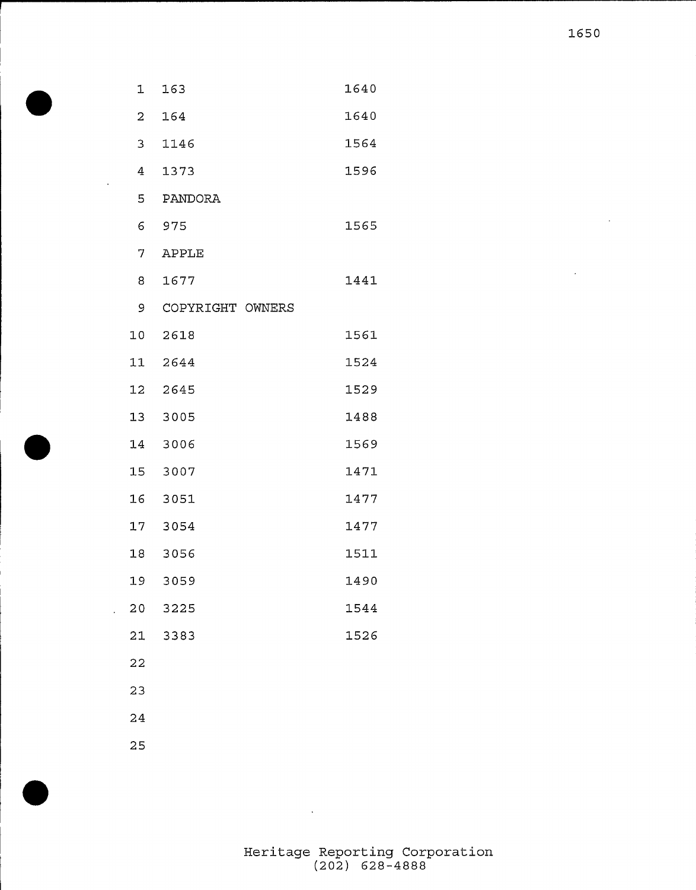| 1              | 163              | 1640 |
|----------------|------------------|------|
| 2              | 164              | 1640 |
| $\overline{3}$ | 1146             | 1564 |
| 4              | 1373             | 1596 |
| 5              | PANDORA          |      |
| 6              | 975              | 1565 |
| 7              | <b>APPLE</b>     |      |
| 8              | 1677             | 1441 |
| 9              | COPYRIGHT OWNERS |      |
| 10             | 2618             | 1561 |
| 11             | 2644             | 1524 |
| 12             | 2645             | 1529 |
| 13             | 3005             | 1488 |
| 14             | 3006             | 1569 |
| 15             | 3007             | 1471 |
| 16             | 3051             | 1477 |
| 17             | 3054             | 1477 |
| 18             | 3056             | 1511 |
| 19             | 3059             | 1490 |
| 20             | 3225             | 1544 |
| 21             | 3383             | 1526 |
| 22             |                  |      |
| 23             |                  |      |
| 24             |                  |      |

 $\sim$ 

 $\sim 10^{-10}$ 

 $\hat{\mathcal{A}}$